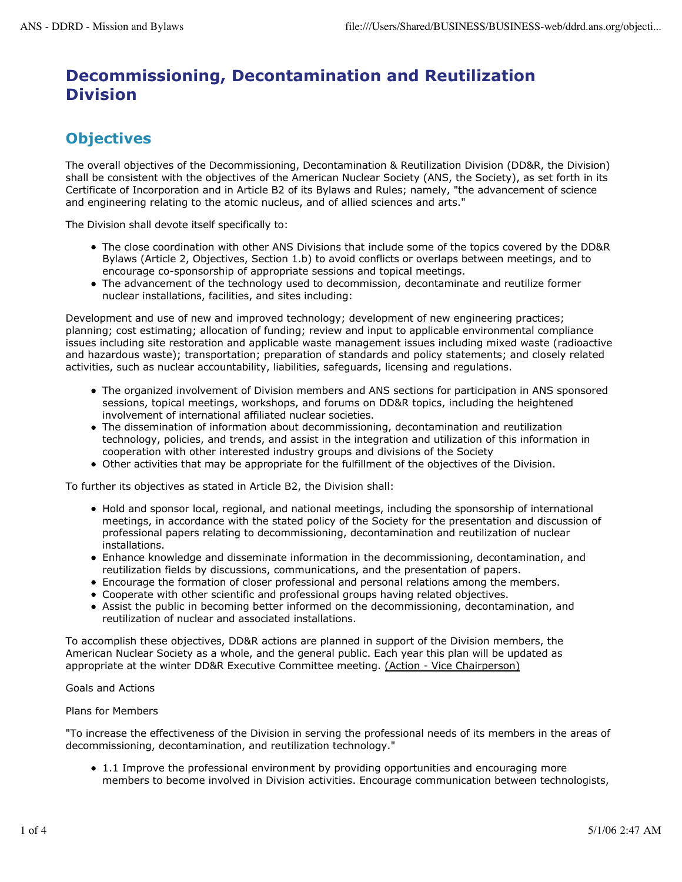# **Decommissioning, Decontamination and Reutilization Division**

## **Objectives**

The overall objectives of the Decommissioning, Decontamination & Reutilization Division (DD&R, the Division) shall be consistent with the objectives of the American Nuclear Society (ANS, the Society), as set forth in its Certificate of Incorporation and in Article B2 of its Bylaws and Rules; namely, "the advancement of science and engineering relating to the atomic nucleus, and of allied sciences and arts."

The Division shall devote itself specifically to:

- The close coordination with other ANS Divisions that include some of the topics covered by the DD&R Bylaws (Article 2, Objectives, Section 1.b) to avoid conflicts or overlaps between meetings, and to encourage co-sponsorship of appropriate sessions and topical meetings.
- The advancement of the technology used to decommission, decontaminate and reutilize former nuclear installations, facilities, and sites including:

Development and use of new and improved technology; development of new engineering practices; planning; cost estimating; allocation of funding; review and input to applicable environmental compliance issues including site restoration and applicable waste management issues including mixed waste (radioactive and hazardous waste); transportation; preparation of standards and policy statements; and closely related activities, such as nuclear accountability, liabilities, safeguards, licensing and regulations.

- The organized involvement of Division members and ANS sections for participation in ANS sponsored sessions, topical meetings, workshops, and forums on DD&R topics, including the heightened involvement of international affiliated nuclear societies.
- The dissemination of information about decommissioning, decontamination and reutilization technology, policies, and trends, and assist in the integration and utilization of this information in cooperation with other interested industry groups and divisions of the Society
- Other activities that may be appropriate for the fulfillment of the objectives of the Division.

To further its objectives as stated in Article B2, the Division shall:

- Hold and sponsor local, regional, and national meetings, including the sponsorship of international meetings, in accordance with the stated policy of the Society for the presentation and discussion of professional papers relating to decommissioning, decontamination and reutilization of nuclear installations.
- Enhance knowledge and disseminate information in the decommissioning, decontamination, and reutilization fields by discussions, communications, and the presentation of papers.
- Encourage the formation of closer professional and personal relations among the members.
- Cooperate with other scientific and professional groups having related objectives.
- Assist the public in becoming better informed on the decommissioning, decontamination, and reutilization of nuclear and associated installations.

To accomplish these objectives, DD&R actions are planned in support of the Division members, the American Nuclear Society as a whole, and the general public. Each year this plan will be updated as appropriate at the winter DD&R Executive Committee meeting. (Action - Vice Chairperson)

Goals and Actions

Plans for Members

"To increase the effectiveness of the Division in serving the professional needs of its members in the areas of decommissioning, decontamination, and reutilization technology."

1.1 Improve the professional environment by providing opportunities and encouraging more members to become involved in Division activities. Encourage communication between technologists,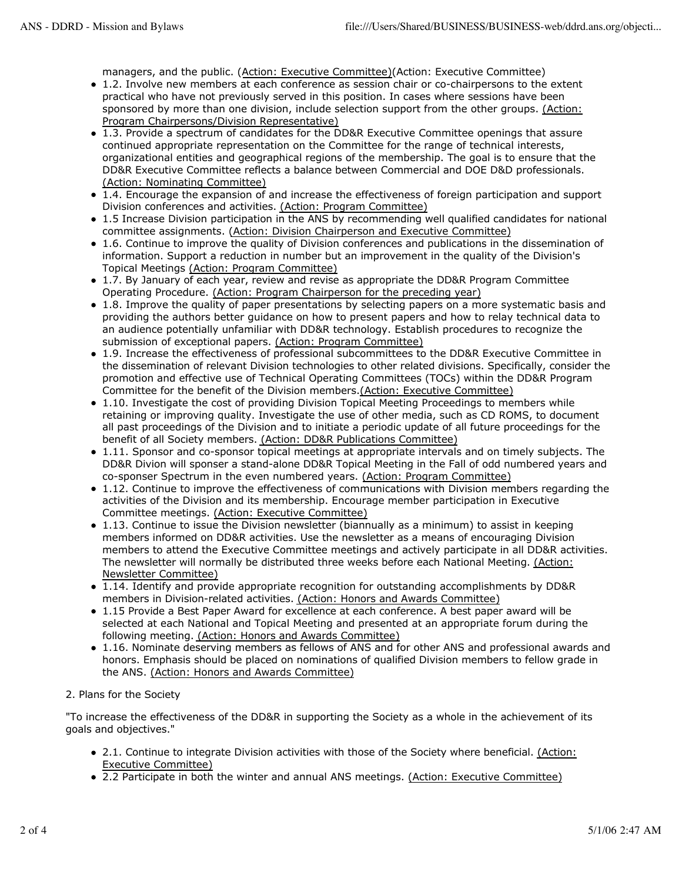managers, and the public. (Action: Executive Committee)(Action: Executive Committee)

- 1.2. Involve new members at each conference as session chair or co-chairpersons to the extent practical who have not previously served in this position. In cases where sessions have been sponsored by more than one division, include selection support from the other groups. (Action: Program Chairpersons/Division Representative)
- 1.3. Provide a spectrum of candidates for the DD&R Executive Committee openings that assure continued appropriate representation on the Committee for the range of technical interests, organizational entities and geographical regions of the membership. The goal is to ensure that the DD&R Executive Committee reflects a balance between Commercial and DOE D&D professionals. (Action: Nominating Committee)
- 1.4. Encourage the expansion of and increase the effectiveness of foreign participation and support Division conferences and activities. (Action: Program Committee)
- 1.5 Increase Division participation in the ANS by recommending well qualified candidates for national committee assignments. (Action: Division Chairperson and Executive Committee)
- 1.6. Continue to improve the quality of Division conferences and publications in the dissemination of information. Support a reduction in number but an improvement in the quality of the Division's Topical Meetings (Action: Program Committee)
- 1.7. By January of each year, review and revise as appropriate the DD&R Program Committee Operating Procedure. (Action: Program Chairperson for the preceding year)
- 1.8. Improve the quality of paper presentations by selecting papers on a more systematic basis and providing the authors better guidance on how to present papers and how to relay technical data to an audience potentially unfamiliar with DD&R technology. Establish procedures to recognize the submission of exceptional papers. (Action: Program Committee)
- 1.9. Increase the effectiveness of professional subcommittees to the DD&R Executive Committee in the dissemination of relevant Division technologies to other related divisions. Specifically, consider the promotion and effective use of Technical Operating Committees (TOCs) within the DD&R Program Committee for the benefit of the Division members.(Action: Executive Committee)
- 1.10. Investigate the cost of providing Division Topical Meeting Proceedings to members while retaining or improving quality. Investigate the use of other media, such as CD ROMS, to document all past proceedings of the Division and to initiate a periodic update of all future proceedings for the benefit of all Society members. (Action: DD&R Publications Committee)
- 1.11. Sponsor and co-sponsor topical meetings at appropriate intervals and on timely subjects. The DD&R Divion will sponser a stand-alone DD&R Topical Meeting in the Fall of odd numbered years and co-sponser Spectrum in the even numbered years. (Action: Program Committee)
- 1.12. Continue to improve the effectiveness of communications with Division members regarding the activities of the Division and its membership. Encourage member participation in Executive Committee meetings. (Action: Executive Committee)
- 1.13. Continue to issue the Division newsletter (biannually as a minimum) to assist in keeping members informed on DD&R activities. Use the newsletter as a means of encouraging Division members to attend the Executive Committee meetings and actively participate in all DD&R activities. The newsletter will normally be distributed three weeks before each National Meeting. (Action: Newsletter Committee)
- 1.14. Identify and provide appropriate recognition for outstanding accomplishments by DD&R members in Division-related activities. (Action: Honors and Awards Committee)
- 1.15 Provide a Best Paper Award for excellence at each conference. A best paper award will be selected at each National and Topical Meeting and presented at an appropriate forum during the following meeting. (Action: Honors and Awards Committee)
- 1.16. Nominate deserving members as fellows of ANS and for other ANS and professional awards and honors. Emphasis should be placed on nominations of qualified Division members to fellow grade in the ANS. (Action: Honors and Awards Committee)
- 2. Plans for the Society

"To increase the effectiveness of the DD&R in supporting the Society as a whole in the achievement of its goals and objectives."

- 2.1. Continue to integrate Division activities with those of the Society where beneficial. (Action: Executive Committee)
- 2.2 Participate in both the winter and annual ANS meetings. (Action: Executive Committee)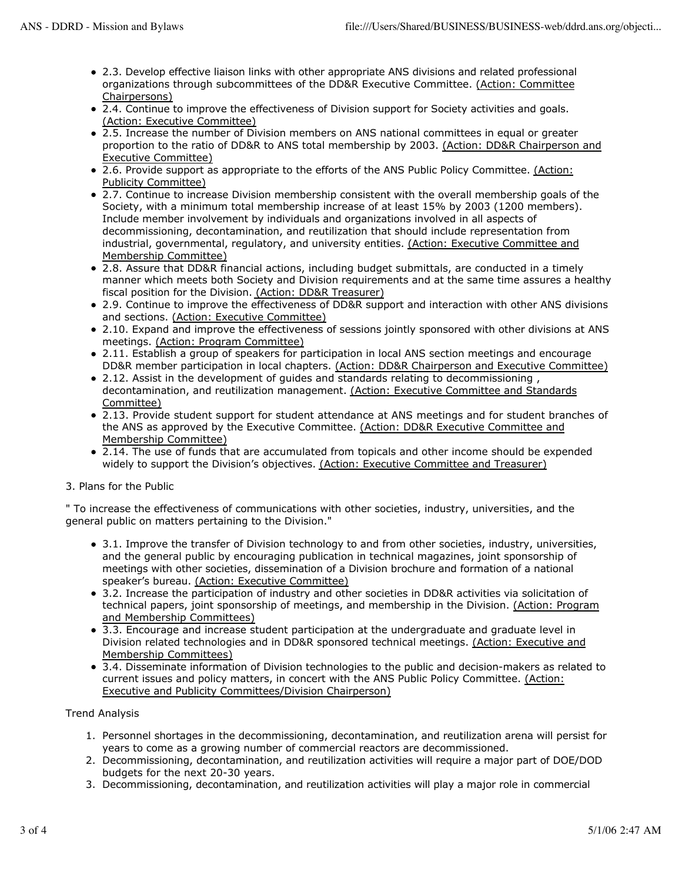- 2.3. Develop effective liaison links with other appropriate ANS divisions and related professional organizations through subcommittees of the DD&R Executive Committee. (Action: Committee Chairpersons)
- 2.4. Continue to improve the effectiveness of Division support for Society activities and goals. (Action: Executive Committee)
- 2.5. Increase the number of Division members on ANS national committees in equal or greater proportion to the ratio of DD&R to ANS total membership by 2003. (Action: DD&R Chairperson and Executive Committee)
- 2.6. Provide support as appropriate to the efforts of the ANS Public Policy Committee. (Action: Publicity Committee)
- 2.7. Continue to increase Division membership consistent with the overall membership goals of the Society, with a minimum total membership increase of at least 15% by 2003 (1200 members). Include member involvement by individuals and organizations involved in all aspects of decommissioning, decontamination, and reutilization that should include representation from industrial, governmental, regulatory, and university entities. (Action: Executive Committee and Membership Committee)
- 2.8. Assure that DD&R financial actions, including budget submittals, are conducted in a timely manner which meets both Society and Division requirements and at the same time assures a healthy fiscal position for the Division. (Action: DD&R Treasurer)
- 2.9. Continue to improve the effectiveness of DD&R support and interaction with other ANS divisions and sections. (Action: Executive Committee)
- 2.10. Expand and improve the effectiveness of sessions jointly sponsored with other divisions at ANS meetings. (Action: Program Committee)
- 2.11. Establish a group of speakers for participation in local ANS section meetings and encourage DD&R member participation in local chapters. (Action: DD&R Chairperson and Executive Committee)
- 2.12. Assist in the development of quides and standards relating to decommissioning, decontamination, and reutilization management. (Action: Executive Committee and Standards Committee)
- 2.13. Provide student support for student attendance at ANS meetings and for student branches of the ANS as approved by the Executive Committee. (Action: DD&R Executive Committee and Membership Committee)
- $\bullet$  2.14. The use of funds that are accumulated from topicals and other income should be expended widely to support the Division's objectives. (Action: Executive Committee and Treasurer)

### 3. Plans for the Public

" To increase the effectiveness of communications with other societies, industry, universities, and the general public on matters pertaining to the Division."

- 3.1. Improve the transfer of Division technology to and from other societies, industry, universities, and the general public by encouraging publication in technical magazines, joint sponsorship of meetings with other societies, dissemination of a Division brochure and formation of a national speaker's bureau. (Action: Executive Committee)
- 3.2. Increase the participation of industry and other societies in DD&R activities via solicitation of technical papers, joint sponsorship of meetings, and membership in the Division. (Action: Program and Membership Committees)
- 3.3. Encourage and increase student participation at the undergraduate and graduate level in Division related technologies and in DD&R sponsored technical meetings. (Action: Executive and Membership Committees)
- 3.4. Disseminate information of Division technologies to the public and decision-makers as related to current issues and policy matters, in concert with the ANS Public Policy Committee. (Action: Executive and Publicity Committees/Division Chairperson)

### Trend Analysis

- 1. Personnel shortages in the decommissioning, decontamination, and reutilization arena will persist for years to come as a growing number of commercial reactors are decommissioned.
- 2. Decommissioning, decontamination, and reutilization activities will require a major part of DOE/DOD budgets for the next 20-30 years.
- 3. Decommissioning, decontamination, and reutilization activities will play a major role in commercial